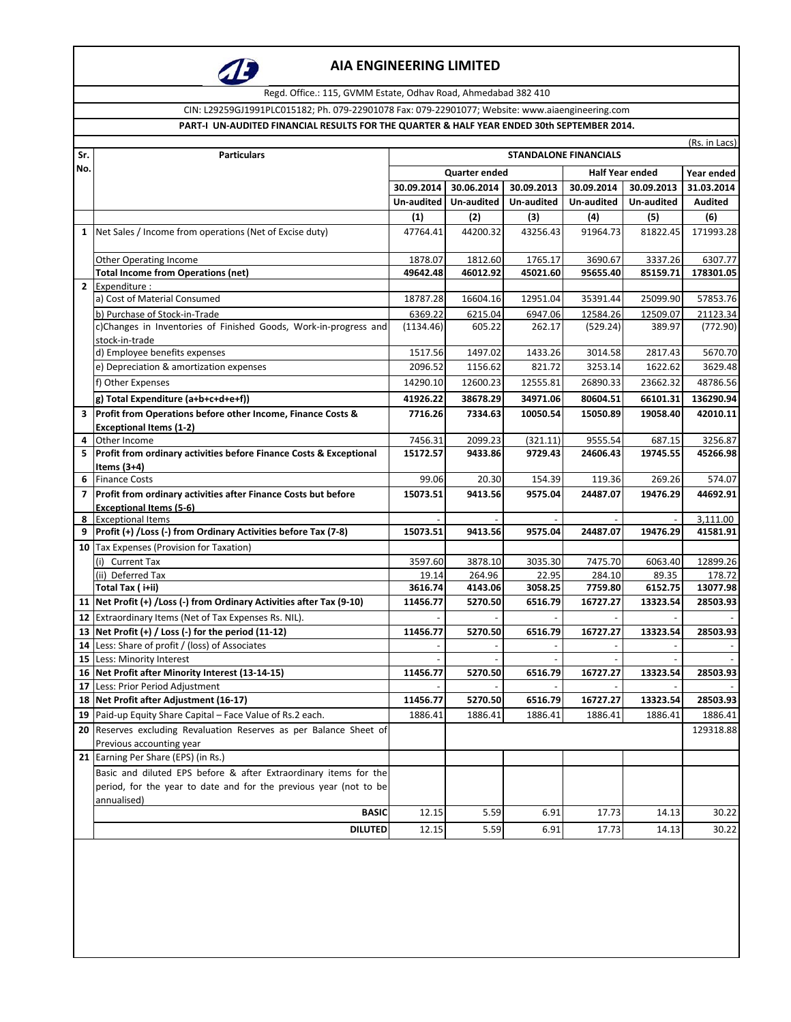

Regd. Office.: 115, GVMM Estate, Odhav Road, Ahmedabad 382 410

CIN: L29259GJ1991PLC015182; Ph. 079-22901078 Fax: 079-22901077; Website: www.aiaengineering.com

#### **PART-I UN-AUDITED FINANCIAL RESULTS FOR THE QUARTER & HALF YEAR ENDED 30th SEPTEMBER 2014.**

| Sr.            | <b>Particulars</b>                                                                 | (Rs. in Lacs)<br><b>STANDALONE FINANCIALS</b>         |                    |                     |                     |                    |                     |
|----------------|------------------------------------------------------------------------------------|-------------------------------------------------------|--------------------|---------------------|---------------------|--------------------|---------------------|
| No.            |                                                                                    | <b>Half Year ended</b><br>Quarter ended<br>Year ended |                    |                     |                     |                    |                     |
|                |                                                                                    | 30.09.2014                                            | 30.06.2014         | 30.09.2013          | 30.09.2014          | 30.09.2013         | 31.03.2014          |
|                |                                                                                    | Un-audited                                            | Un-audited         | Un-audited          | Un-audited          | Un-audited         | Audited             |
|                |                                                                                    | (1)                                                   | (2)                | (3)                 | (4)                 | (5)                | (6)                 |
| $\mathbf{1}$   | Net Sales / Income from operations (Net of Excise duty)                            | 47764.41                                              | 44200.32           | 43256.43            | 91964.73            | 81822.45           | 171993.28           |
|                |                                                                                    |                                                       |                    |                     |                     |                    |                     |
|                | <b>Other Operating Income</b>                                                      | 1878.07                                               | 1812.60            | 1765.17             | 3690.67             | 3337.26            | 6307.77             |
|                | <b>Total Income from Operations (net)</b>                                          | 49642.48                                              | 46012.92           | 45021.60            | 95655.40            | 85159.71           | 178301.05           |
| $\mathbf{2}$   | Expenditure:                                                                       |                                                       |                    |                     |                     |                    |                     |
|                | a) Cost of Material Consumed                                                       | 18787.28                                              | 16604.16           | 12951.04            | 35391.44            | 25099.90           | 57853.76            |
|                | b) Purchase of Stock-in-Trade                                                      | 6369.22                                               | 6215.04            | 6947.06             | 12584.26            | 12509.07           | 21123.34            |
|                | c)Changes in Inventories of Finished Goods, Work-in-progress and                   | (1134.46)                                             | 605.22             | 262.17              | (529.24)            | 389.97             | (772.90)            |
|                | stock-in-trade<br>d) Employee benefits expenses                                    |                                                       |                    |                     |                     |                    |                     |
|                | e) Depreciation & amortization expenses                                            | 1517.56<br>2096.52                                    | 1497.02<br>1156.62 | 1433.26<br>821.72   | 3014.58             | 2817.43            | 5670.70             |
|                |                                                                                    |                                                       |                    |                     | 3253.14             | 1622.62            | 3629.48             |
|                | f) Other Expenses                                                                  | 14290.10                                              | 12600.23           | 12555.81            | 26890.33            | 23662.32           | 48786.56            |
|                | g) Total Expenditure (a+b+c+d+e+f))                                                | 41926.22                                              | 38678.29           | 34971.06            | 80604.51            | 66101.31           | 136290.94           |
|                | 3 Profit from Operations before other Income, Finance Costs &                      | 7716.26                                               | 7334.63            | 10050.54            | 15050.89            | 19058.40           | 42010.11            |
|                | <b>Exceptional Items (1-2)</b>                                                     | 7456.31                                               |                    |                     |                     |                    |                     |
| 4<br>5         | Other Income<br>Profit from ordinary activities before Finance Costs & Exceptional | 15172.57                                              | 2099.23<br>9433.86 | (321.11)<br>9729.43 | 9555.54<br>24606.43 | 687.15<br>19745.55 | 3256.87<br>45266.98 |
|                | Items (3+4)                                                                        |                                                       |                    |                     |                     |                    |                     |
| 6              | <b>Finance Costs</b>                                                               | 99.06                                                 | 20.30              | 154.39              | 119.36              | 269.26             | 574.07              |
| $\overline{7}$ | Profit from ordinary activities after Finance Costs but before                     | 15073.51                                              | 9413.56            | 9575.04             | 24487.07            | 19476.29           | 44692.91            |
|                | <b>Exceptional Items (5-6)</b>                                                     |                                                       |                    |                     |                     |                    |                     |
| 8              | <b>Exceptional Items</b>                                                           |                                                       |                    |                     |                     |                    | 3,111.00            |
| 9              | Profit (+) / Loss (-) from Ordinary Activities before Tax (7-8)                    | 15073.51                                              | 9413.56            | 9575.04             | 24487.07            | 19476.29           | 41581.91            |
| 10             | Tax Expenses (Provision for Taxation)                                              |                                                       |                    |                     |                     |                    |                     |
|                | <b>Current Tax</b><br>(i)                                                          | 3597.60                                               | 3878.10            | 3035.30             | 7475.70             | 6063.40            | 12899.26            |
|                | (ii) Deferred Tax                                                                  | 19.14                                                 | 264.96             | 22.95               | 284.10              | 89.35              | 178.72              |
|                | Total Tax ( i+ii)                                                                  | 3616.74                                               | 4143.06            | 3058.25             | 7759.80             | 6152.75            | 13077.98            |
|                | 11   Net Profit (+) / Loss (-) from Ordinary Activities after Tax (9-10)           | 11456.77                                              | 5270.50            | 6516.79             | 16727.27            | 13323.54           | 28503.93            |
| 12             | Extraordinary Items (Net of Tax Expenses Rs. NIL).                                 |                                                       |                    |                     |                     |                    |                     |
| 13             | Net Profit (+) / Loss (-) for the period (11-12)                                   | 11456.77                                              | 5270.50            | 6516.79             | 16727.27            | 13323.54           | 28503.93            |
| 14             | Less: Share of profit / (loss) of Associates                                       |                                                       |                    |                     |                     |                    |                     |
|                | 15 Less: Minority Interest                                                         |                                                       | 5270.50            |                     |                     |                    |                     |
| 17             | 16 Net Profit after Minority Interest (13-14-15)<br>Less: Prior Period Adjustment  | 11456.77                                              |                    | 6516.79             | 16727.27            | 13323.54           | 28503.93            |
|                | 18 Net Profit after Adjustment (16-17)                                             | 11456.77                                              | 5270.50            | 6516.79             | 16727.27            | 13323.54           | 28503.93            |
|                | 19 Paid-up Equity Share Capital - Face Value of Rs.2 each.                         | 1886.41                                               | 1886.41            | 1886.41             | 1886.41             | 1886.41            | 1886.41             |
|                | 20 Reserves excluding Revaluation Reserves as per Balance Sheet of                 |                                                       |                    |                     |                     |                    | 129318.88           |
|                | Previous accounting year                                                           |                                                       |                    |                     |                     |                    |                     |
|                | 21 Earning Per Share (EPS) (in Rs.)                                                |                                                       |                    |                     |                     |                    |                     |
|                | Basic and diluted EPS before & after Extraordinary items for the                   |                                                       |                    |                     |                     |                    |                     |
|                | period, for the year to date and for the previous year (not to be                  |                                                       |                    |                     |                     |                    |                     |
|                | annualised)                                                                        |                                                       |                    |                     |                     |                    |                     |
|                | <b>BASIC</b>                                                                       | 12.15                                                 | 5.59               | 6.91                | 17.73               | 14.13              | 30.22               |
|                | <b>DILUTED</b>                                                                     | 12.15                                                 | 5.59               | 6.91                | 17.73               | 14.13              | 30.22               |
|                |                                                                                    |                                                       |                    |                     |                     |                    |                     |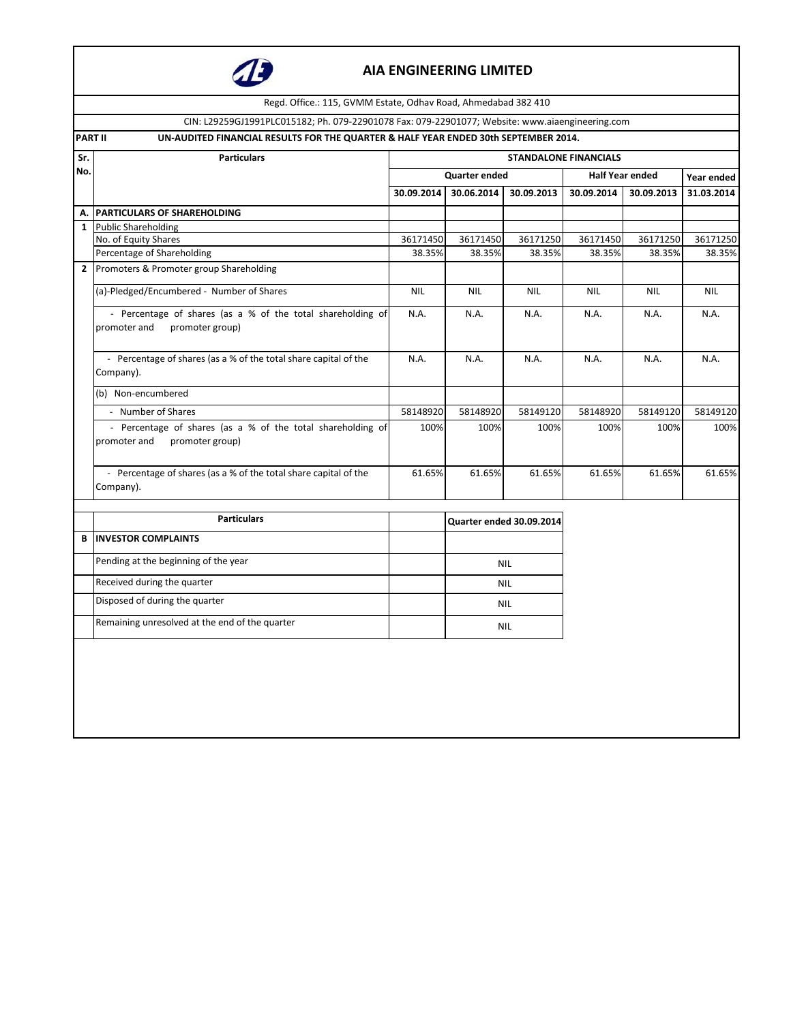

Regd. Office.: 115, GVMM Estate, Odhav Road, Ahmedabad 382 410

CIN: L29259GJ1991PLC015182; Ph. 079-22901078 Fax: 079-22901077; Website: www.aiaengineering.com

| PART II | UN-AUDITED FINANCIAL RESULTS FOR THE QUARTER & HALF YEAR ENDED 30th SEPTEMBER 2014. |
|---------|-------------------------------------------------------------------------------------|
|         |                                                                                     |

| Sr.          | <b>Particulars</b>                                                                             |            |                      |                          | <b>STANDALONE FINANCIALS</b> |                        |            |
|--------------|------------------------------------------------------------------------------------------------|------------|----------------------|--------------------------|------------------------------|------------------------|------------|
| No.          |                                                                                                |            | <b>Quarter ended</b> |                          |                              | <b>Half Year ended</b> | Year ended |
|              |                                                                                                | 30.09.2014 | 30.06.2014           | 30.09.2013               | 30.09.2014                   | 30.09.2013             | 31.03.2014 |
| А.           | <b>PARTICULARS OF SHAREHOLDING</b>                                                             |            |                      |                          |                              |                        |            |
| $\mathbf{1}$ | <b>Public Shareholding</b>                                                                     |            |                      |                          |                              |                        |            |
|              | No. of Equity Shares                                                                           | 36171450   | 36171450             | 36171250                 | 36171450                     | 36171250               | 36171250   |
|              | Percentage of Shareholding                                                                     | 38.35%     | 38.35%               | 38.35%                   | 38.35%                       | 38.35%                 | 38.35%     |
| $\mathbf{2}$ | Promoters & Promoter group Shareholding                                                        |            |                      |                          |                              |                        |            |
|              | (a)-Pledged/Encumbered - Number of Shares                                                      | <b>NIL</b> | <b>NIL</b>           | <b>NIL</b>               | <b>NIL</b>                   | <b>NIL</b>             | <b>NIL</b> |
|              | - Percentage of shares (as a % of the total shareholding of<br>promoter group)<br>promoter and |            | N.A.                 | N.A.                     | N.A.                         | N.A.                   | N.A.       |
|              | - Percentage of shares (as a % of the total share capital of the<br>Company).                  |            | N.A.                 | N.A.                     | N.A.                         | N.A.                   | N.A.       |
|              | (b) Non-encumbered                                                                             |            |                      |                          |                              |                        |            |
|              | - Number of Shares                                                                             | 58148920   | 58148920             | 58149120                 | 58148920                     | 58149120               | 58149120   |
|              | - Percentage of shares (as a % of the total shareholding of<br>promoter and<br>promoter group) | 100%       | 100%                 | 100%                     | 100%                         | 100%                   | 100%       |
|              | - Percentage of shares (as a % of the total share capital of the<br>Company).                  |            | 61.65%<br>61.65%     | 61.65%                   | 61.65%                       | 61.65%                 | 61.65%     |
|              | <b>Particulars</b>                                                                             |            |                      | Quarter ended 30.09.2014 |                              |                        |            |
| B            | <b>INVESTOR COMPLAINTS</b>                                                                     |            |                      |                          |                              |                        |            |
|              | Pending at the beginning of the year                                                           |            |                      | <b>NIL</b>               |                              |                        |            |
|              | Received during the quarter                                                                    |            |                      | <b>NIL</b>               |                              |                        |            |
|              | Disposed of during the quarter                                                                 |            | <b>NIL</b>           |                          |                              |                        |            |
|              | Remaining unresolved at the end of the quarter                                                 |            | <b>NIL</b>           |                          |                              |                        |            |
|              |                                                                                                |            |                      |                          |                              |                        |            |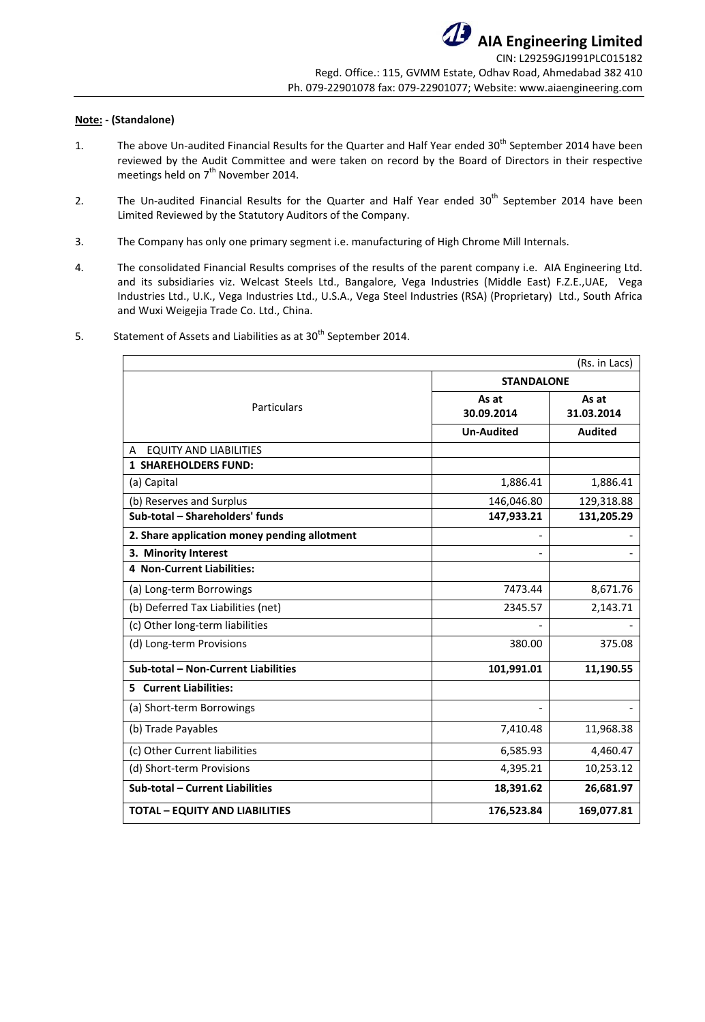### **Note: - (Standalone)**

- 1. The above Un-audited Financial Results for the Quarter and Half Year ended 30<sup>th</sup> September 2014 have been reviewed by the Audit Committee and were taken on record by the Board of Directors in their respective meetings held on  $7<sup>th</sup>$  November 2014.
- 2. The Un-audited Financial Results for the Quarter and Half Year ended 30<sup>th</sup> September 2014 have been Limited Reviewed by the Statutory Auditors of the Company.
- 3. The Company has only one primary segment i.e. manufacturing of High Chrome Mill Internals.
- 4. The consolidated Financial Results comprises of the results of the parent company i.e. AIA Engineering Ltd. and its subsidiaries viz. Welcast Steels Ltd., Bangalore, Vega Industries (Middle East) F.Z.E.,UAE, Vega Industries Ltd., U.K., Vega Industries Ltd., U.S.A., Vega Steel Industries (RSA) (Proprietary) Ltd., South Africa and Wuxi Weigejia Trade Co. Ltd., China.

|                                              |                     | (Rs. in Lacs)       |  |
|----------------------------------------------|---------------------|---------------------|--|
|                                              | <b>STANDALONE</b>   |                     |  |
| Particulars                                  | As at<br>30.09.2014 | As at<br>31.03.2014 |  |
|                                              | <b>Un-Audited</b>   | <b>Audited</b>      |  |
| <b>EQUITY AND LIABILITIES</b><br>A           |                     |                     |  |
| <b>1 SHAREHOLDERS FUND:</b>                  |                     |                     |  |
| (a) Capital                                  | 1,886.41            | 1,886.41            |  |
| (b) Reserves and Surplus                     | 146,046.80          | 129,318.88          |  |
| Sub-total - Shareholders' funds              | 147,933.21          | 131,205.29          |  |
| 2. Share application money pending allotment |                     |                     |  |
| 3. Minority Interest                         |                     |                     |  |
| <b>4 Non-Current Liabilities:</b>            |                     |                     |  |
| (a) Long-term Borrowings                     | 7473.44             | 8,671.76            |  |
| (b) Deferred Tax Liabilities (net)           | 2345.57             | 2,143.71            |  |
| (c) Other long-term liabilities              |                     |                     |  |
| (d) Long-term Provisions                     | 380.00              | 375.08              |  |
| Sub-total - Non-Current Liabilities          | 101,991.01          | 11,190.55           |  |
| <b>5</b> Current Liabilities:                |                     |                     |  |
| (a) Short-term Borrowings                    |                     |                     |  |
| (b) Trade Payables                           | 7,410.48            | 11,968.38           |  |
| (c) Other Current liabilities                | 6,585.93            | 4,460.47            |  |
| (d) Short-term Provisions                    | 4,395.21            | 10,253.12           |  |
| Sub-total - Current Liabilities              | 18,391.62           | 26,681.97           |  |
| <b>TOTAL - EQUITY AND LIABILITIES</b>        | 176,523.84          | 169,077.81          |  |

5. Statement of Assets and Liabilities as at 30<sup>th</sup> September 2014.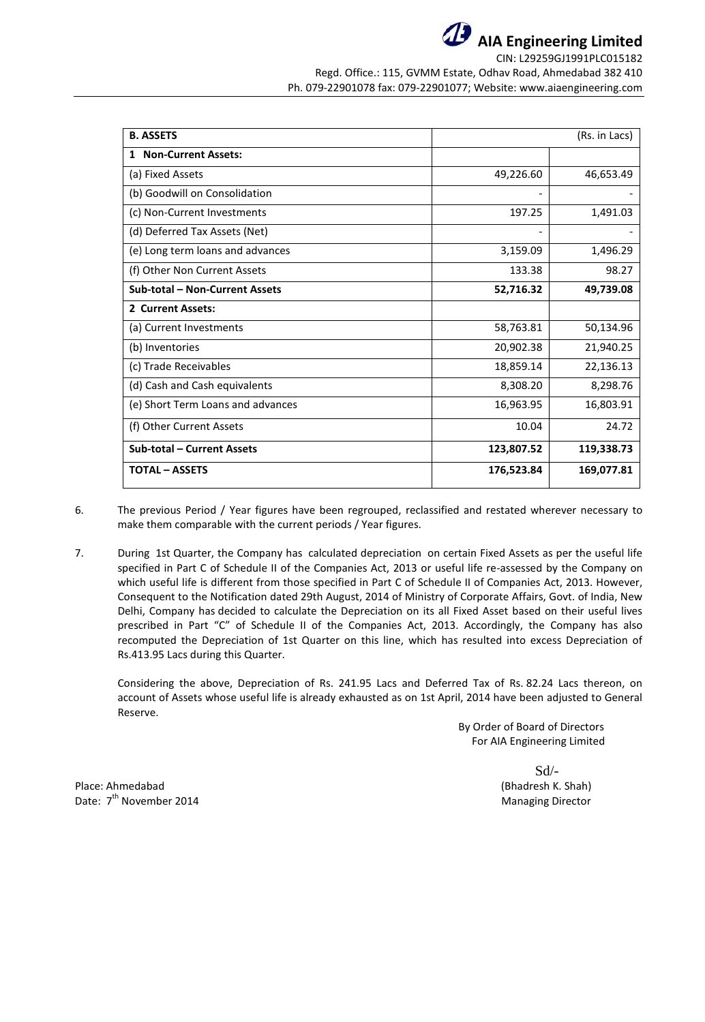

**AIA Engineering Limited** CIN: L29259GJ1991PLC015182

Regd. Office.: 115, GVMM Estate, Odhav Road, Ahmedabad 382 410 Ph. 079-22901078 fax: 079-22901077; Website: www.aiaengineering.com

| <b>B. ASSETS</b>                  |            | (Rs. in Lacs) |
|-----------------------------------|------------|---------------|
| 1 Non-Current Assets:             |            |               |
| (a) Fixed Assets                  | 49,226.60  | 46,653.49     |
| (b) Goodwill on Consolidation     |            |               |
| (c) Non-Current Investments       | 197.25     | 1,491.03      |
| (d) Deferred Tax Assets (Net)     |            |               |
| (e) Long term loans and advances  | 3,159.09   | 1,496.29      |
| (f) Other Non Current Assets      | 133.38     | 98.27         |
| Sub-total - Non-Current Assets    | 52,716.32  | 49,739.08     |
| 2 Current Assets:                 |            |               |
| (a) Current Investments           | 58,763.81  | 50,134.96     |
| (b) Inventories                   | 20,902.38  | 21,940.25     |
| (c) Trade Receivables             | 18,859.14  | 22,136.13     |
| (d) Cash and Cash equivalents     | 8,308.20   | 8,298.76      |
| (e) Short Term Loans and advances | 16,963.95  | 16,803.91     |
| (f) Other Current Assets          | 10.04      | 24.72         |
| <b>Sub-total - Current Assets</b> | 123,807.52 | 119,338.73    |
| <b>TOTAL - ASSETS</b>             | 176,523.84 | 169,077.81    |

6. The previous Period / Year figures have been regrouped, reclassified and restated wherever necessary to make them comparable with the current periods / Year figures.

7. During 1st Quarter, the Company has calculated depreciation on certain Fixed Assets as per the useful life specified in Part C of Schedule II of the Companies Act, 2013 or useful life re-assessed by the Company on which useful life is different from those specified in Part C of Schedule II of Companies Act, 2013. However, Consequent to the Notification dated 29th August, 2014 of Ministry of Corporate Affairs, Govt. of India, New Delhi, Company has decided to calculate the Depreciation on its all Fixed Asset based on their useful lives prescribed in Part "C" of Schedule II of the Companies Act, 2013. Accordingly, the Company has also recomputed the Depreciation of 1st Quarter on this line, which has resulted into excess Depreciation of Rs.413.95 Lacs during this Quarter.

Considering the above, Depreciation of Rs. 241.95 Lacs and Deferred Tax of Rs. 82.24 Lacs thereon, on account of Assets whose useful life is already exhausted as on 1st April, 2014 have been adjusted to General Reserve.

> By Order of Board of Directors For AIA Engineering Limited

Sd/-

Place: Ahmedabad (Bhadresh K. Shah) Date:  $7<sup>th</sup>$  November 2014 Managing Director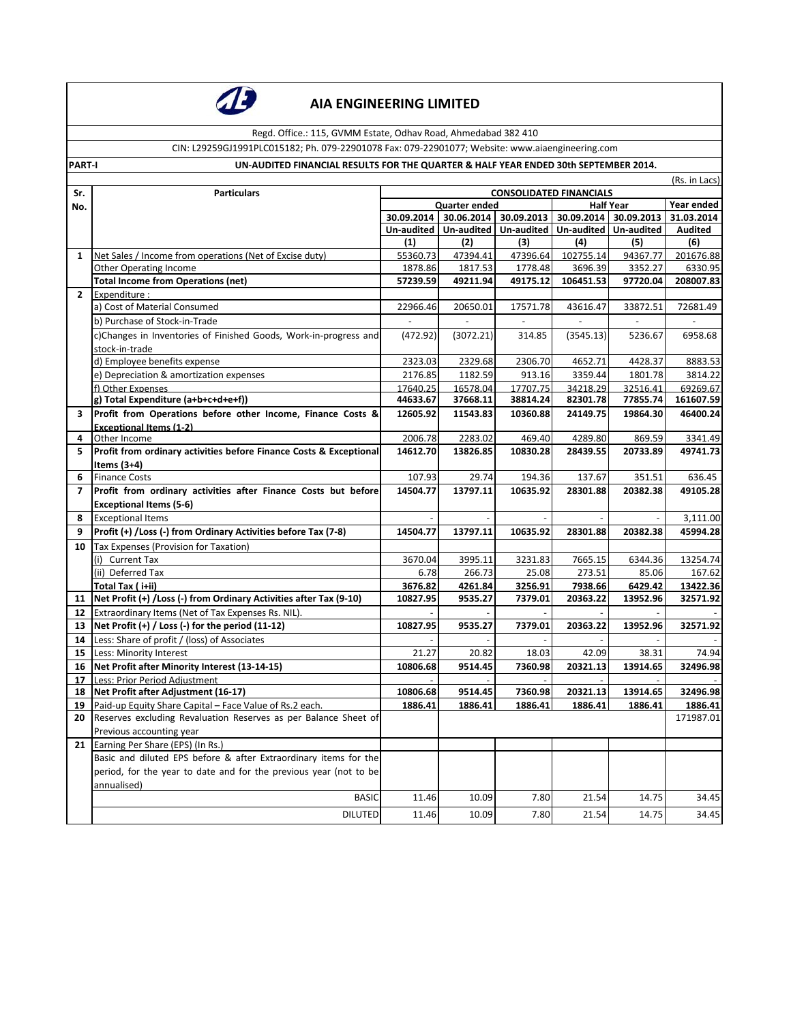

Regd. Office.: 115, GVMM Estate, Odhav Road, Ahmedabad 382 410

CIN: L29259GJ1991PLC015182; Ph. 079-22901078 Fax: 079-22901077; Website: www.aiaengineering.com

#### **PART-I UN-AUDITED FINANCIAL RESULTS FOR THE QUARTER & HALF YEAR ENDED 30th SEPTEMBER 2014.**

(Rs. in Lacs)

| Sr.<br><b>Particulars</b><br>Year ended<br><b>Half Year</b><br>Quarter ended<br>No.<br>30.09.2014<br>30.06.2014 30.09.2013 30.09.2014 30.09.2013<br>31.03.2014<br>Un-audited  <br>Un-audited   Un-audited   Un-audited   Un-audited<br><b>Audited</b><br>(1)<br>(2)<br>(4)<br>(5)<br>(6)<br>(3)<br>47394.41<br>47396.64<br>102755.14<br>94367.77<br>201676.88<br>Net Sales / Income from operations (Net of Excise duty)<br>55360.73<br>$\mathbf{1}$<br>1817.53<br>1778.48<br><b>Other Operating Income</b><br>1878.86<br>3696.39<br>3352.27<br>6330.95<br><b>Total Income from Operations (net)</b><br>57239.59<br>49175.12<br>97720.04<br>208007.83<br>49211.94<br>106451.53<br>$\mathbf{2}$<br>Expenditure :<br>a) Cost of Material Consumed<br>17571.78<br>72681.49<br>22966.46<br>20650.01<br>43616.47<br>33872.51<br>b) Purchase of Stock-in-Trade<br>c)Changes in Inventories of Finished Goods, Work-in-progress and<br>(472.92)<br>(3072.21)<br>314.85<br>(3545.13)<br>5236.67<br>6958.68<br>stock-in-trade<br>d) Employee benefits expense<br>2323.03<br>2329.68<br>4652.71<br>4428.37<br>8883.53<br>2306.70<br>e) Depreciation & amortization expenses<br>1182.59<br>2176.85<br>913.16<br>3359.44<br>1801.78<br>3814.22<br>f) Other Expenses<br>17640.25<br>16578.04<br>17707.75<br>34218.29<br>32516.41<br>69269.67<br>g) Total Expenditure (a+b+c+d+e+f))<br>44633.67<br>37668.11<br>77855.74<br>161607.59<br>38814.24<br>82301.78<br>Profit from Operations before other Income, Finance Costs &<br>12605.92<br>11543.83<br>10360.88<br>24149.75<br>19864.30<br>46400.24<br>3<br><b>Exceptional Items (1-2)</b><br>2283.02<br>3341.49<br>Other Income<br>2006.78<br>469.40<br>4289.80<br>869.59<br>4<br>Profit from ordinary activities before Finance Costs & Exceptional<br>14612.70<br>13826.85<br>49741.73<br>5.<br>10830.28<br>28439.55<br>20733.89<br>Items $(3+4)$<br>6<br><b>Finance Costs</b><br>107.93<br>194.36<br>137.67<br>636.45<br>29.74<br>351.51<br>Profit from ordinary activities after Finance Costs but before<br>13797.11<br>10635.92<br>49105.28<br>$\overline{7}$<br>14504.77<br>28301.88<br>20382.38<br><b>Exceptional Items (5-6)</b><br><b>Exceptional Items</b><br>3,111.00<br>8<br>Profit (+) /Loss (-) from Ordinary Activities before Tax (7-8)<br>20382.38<br>45994.28<br>9<br>14504.77<br>13797.11<br>10635.92<br>28301.88<br>Tax Expenses (Provision for Taxation)<br>10<br>(i) Current Tax<br>3670.04<br>3995.11<br>3231.83<br>7665.15<br>6344.36<br>13254.74<br>(ii) Deferred Tax<br>6.78<br>266.73<br>25.08<br>273.51<br>85.06<br>167.62<br>Total Tax (i+ii)<br>3676.82<br>4261.84<br>3256.91<br>7938.66<br>6429.42<br>13422.36<br>Net Profit (+) / Loss (-) from Ordinary Activities after Tax (9-10)<br>10827.95<br>9535.27<br>20363.22<br>13952.96<br>32571.92<br>7379.01<br>11<br>Extraordinary Items (Net of Tax Expenses Rs. NIL).<br>12<br>Net Profit (+) / Loss (-) for the period (11-12)<br>9535.27<br>32571.92<br>10827.95<br>7379.01<br>20363.22<br>13952.96<br>13<br>Less: Share of profit / (loss) of Associates<br>14<br>Less: Minority Interest<br>21.27<br>20.82<br>18.03<br>42.09<br>38.31<br>74.94<br>15<br>Net Profit after Minority Interest (13-14-15)<br>20321.13<br>10806.68<br>9514.45<br>7360.98<br>13914.65<br>32496.98<br>16<br>Less: Prior Period Adiustment<br>17<br>Net Profit after Adjustment (16-17)<br>10806.68<br>9514.45<br>7360.98<br>20321.13<br>13914.65<br>32496.98<br>18<br>Paid-up Equity Share Capital - Face Value of Rs.2 each.<br>1886.41<br>1886.41<br>1886.41<br>1886.41<br>1886.41<br>1886.41<br>19<br>Reserves excluding Revaluation Reserves as per Balance Sheet of<br>171987.01<br>20<br>Previous accounting year<br>21<br>Earning Per Share (EPS) (In Rs.)<br>Basic and diluted EPS before & after Extraordinary items for the<br>period, for the year to date and for the previous year (not to be<br>annualised)<br><b>BASIC</b><br>11.46<br>10.09<br>7.80<br>21.54<br>14.75<br>34.45<br><b>DILUTED</b><br>11.46<br>10.09<br>7.80<br>21.54<br>14.75 |  | (NS. III LACS)                 |  |  |  |  |       |  |
|-----------------------------------------------------------------------------------------------------------------------------------------------------------------------------------------------------------------------------------------------------------------------------------------------------------------------------------------------------------------------------------------------------------------------------------------------------------------------------------------------------------------------------------------------------------------------------------------------------------------------------------------------------------------------------------------------------------------------------------------------------------------------------------------------------------------------------------------------------------------------------------------------------------------------------------------------------------------------------------------------------------------------------------------------------------------------------------------------------------------------------------------------------------------------------------------------------------------------------------------------------------------------------------------------------------------------------------------------------------------------------------------------------------------------------------------------------------------------------------------------------------------------------------------------------------------------------------------------------------------------------------------------------------------------------------------------------------------------------------------------------------------------------------------------------------------------------------------------------------------------------------------------------------------------------------------------------------------------------------------------------------------------------------------------------------------------------------------------------------------------------------------------------------------------------------------------------------------------------------------------------------------------------------------------------------------------------------------------------------------------------------------------------------------------------------------------------------------------------------------------------------------------------------------------------------------------------------------------------------------------------------------------------------------------------------------------------------------------------------------------------------------------------------------------------------------------------------------------------------------------------------------------------------------------------------------------------------------------------------------------------------------------------------------------------------------------------------------------------------------------------------------------------------------------------------------------------------------------------------------------------------------------------------------------------------------------------------------------------------------------------------------------------------------------------------------------------------------------------------------------------------------------------------------------------------------------------------------------------------------------------------------------------------------------------------------------------------------------------------------------------------------------------------------------------------------------------------------------------------------------------------------------------------------------------------------------------------------------------------------------------------------------------------------------------------------|--|--------------------------------|--|--|--|--|-------|--|
|                                                                                                                                                                                                                                                                                                                                                                                                                                                                                                                                                                                                                                                                                                                                                                                                                                                                                                                                                                                                                                                                                                                                                                                                                                                                                                                                                                                                                                                                                                                                                                                                                                                                                                                                                                                                                                                                                                                                                                                                                                                                                                                                                                                                                                                                                                                                                                                                                                                                                                                                                                                                                                                                                                                                                                                                                                                                                                                                                                                                                                                                                                                                                                                                                                                                                                                                                                                                                                                                                                                                                                                                                                                                                                                                                                                                                                                                                                                                                                                                                                                                 |  | <b>CONSOLIDATED FINANCIALS</b> |  |  |  |  |       |  |
|                                                                                                                                                                                                                                                                                                                                                                                                                                                                                                                                                                                                                                                                                                                                                                                                                                                                                                                                                                                                                                                                                                                                                                                                                                                                                                                                                                                                                                                                                                                                                                                                                                                                                                                                                                                                                                                                                                                                                                                                                                                                                                                                                                                                                                                                                                                                                                                                                                                                                                                                                                                                                                                                                                                                                                                                                                                                                                                                                                                                                                                                                                                                                                                                                                                                                                                                                                                                                                                                                                                                                                                                                                                                                                                                                                                                                                                                                                                                                                                                                                                                 |  |                                |  |  |  |  |       |  |
|                                                                                                                                                                                                                                                                                                                                                                                                                                                                                                                                                                                                                                                                                                                                                                                                                                                                                                                                                                                                                                                                                                                                                                                                                                                                                                                                                                                                                                                                                                                                                                                                                                                                                                                                                                                                                                                                                                                                                                                                                                                                                                                                                                                                                                                                                                                                                                                                                                                                                                                                                                                                                                                                                                                                                                                                                                                                                                                                                                                                                                                                                                                                                                                                                                                                                                                                                                                                                                                                                                                                                                                                                                                                                                                                                                                                                                                                                                                                                                                                                                                                 |  |                                |  |  |  |  |       |  |
|                                                                                                                                                                                                                                                                                                                                                                                                                                                                                                                                                                                                                                                                                                                                                                                                                                                                                                                                                                                                                                                                                                                                                                                                                                                                                                                                                                                                                                                                                                                                                                                                                                                                                                                                                                                                                                                                                                                                                                                                                                                                                                                                                                                                                                                                                                                                                                                                                                                                                                                                                                                                                                                                                                                                                                                                                                                                                                                                                                                                                                                                                                                                                                                                                                                                                                                                                                                                                                                                                                                                                                                                                                                                                                                                                                                                                                                                                                                                                                                                                                                                 |  |                                |  |  |  |  |       |  |
|                                                                                                                                                                                                                                                                                                                                                                                                                                                                                                                                                                                                                                                                                                                                                                                                                                                                                                                                                                                                                                                                                                                                                                                                                                                                                                                                                                                                                                                                                                                                                                                                                                                                                                                                                                                                                                                                                                                                                                                                                                                                                                                                                                                                                                                                                                                                                                                                                                                                                                                                                                                                                                                                                                                                                                                                                                                                                                                                                                                                                                                                                                                                                                                                                                                                                                                                                                                                                                                                                                                                                                                                                                                                                                                                                                                                                                                                                                                                                                                                                                                                 |  |                                |  |  |  |  |       |  |
|                                                                                                                                                                                                                                                                                                                                                                                                                                                                                                                                                                                                                                                                                                                                                                                                                                                                                                                                                                                                                                                                                                                                                                                                                                                                                                                                                                                                                                                                                                                                                                                                                                                                                                                                                                                                                                                                                                                                                                                                                                                                                                                                                                                                                                                                                                                                                                                                                                                                                                                                                                                                                                                                                                                                                                                                                                                                                                                                                                                                                                                                                                                                                                                                                                                                                                                                                                                                                                                                                                                                                                                                                                                                                                                                                                                                                                                                                                                                                                                                                                                                 |  |                                |  |  |  |  |       |  |
|                                                                                                                                                                                                                                                                                                                                                                                                                                                                                                                                                                                                                                                                                                                                                                                                                                                                                                                                                                                                                                                                                                                                                                                                                                                                                                                                                                                                                                                                                                                                                                                                                                                                                                                                                                                                                                                                                                                                                                                                                                                                                                                                                                                                                                                                                                                                                                                                                                                                                                                                                                                                                                                                                                                                                                                                                                                                                                                                                                                                                                                                                                                                                                                                                                                                                                                                                                                                                                                                                                                                                                                                                                                                                                                                                                                                                                                                                                                                                                                                                                                                 |  |                                |  |  |  |  |       |  |
|                                                                                                                                                                                                                                                                                                                                                                                                                                                                                                                                                                                                                                                                                                                                                                                                                                                                                                                                                                                                                                                                                                                                                                                                                                                                                                                                                                                                                                                                                                                                                                                                                                                                                                                                                                                                                                                                                                                                                                                                                                                                                                                                                                                                                                                                                                                                                                                                                                                                                                                                                                                                                                                                                                                                                                                                                                                                                                                                                                                                                                                                                                                                                                                                                                                                                                                                                                                                                                                                                                                                                                                                                                                                                                                                                                                                                                                                                                                                                                                                                                                                 |  |                                |  |  |  |  |       |  |
|                                                                                                                                                                                                                                                                                                                                                                                                                                                                                                                                                                                                                                                                                                                                                                                                                                                                                                                                                                                                                                                                                                                                                                                                                                                                                                                                                                                                                                                                                                                                                                                                                                                                                                                                                                                                                                                                                                                                                                                                                                                                                                                                                                                                                                                                                                                                                                                                                                                                                                                                                                                                                                                                                                                                                                                                                                                                                                                                                                                                                                                                                                                                                                                                                                                                                                                                                                                                                                                                                                                                                                                                                                                                                                                                                                                                                                                                                                                                                                                                                                                                 |  |                                |  |  |  |  |       |  |
|                                                                                                                                                                                                                                                                                                                                                                                                                                                                                                                                                                                                                                                                                                                                                                                                                                                                                                                                                                                                                                                                                                                                                                                                                                                                                                                                                                                                                                                                                                                                                                                                                                                                                                                                                                                                                                                                                                                                                                                                                                                                                                                                                                                                                                                                                                                                                                                                                                                                                                                                                                                                                                                                                                                                                                                                                                                                                                                                                                                                                                                                                                                                                                                                                                                                                                                                                                                                                                                                                                                                                                                                                                                                                                                                                                                                                                                                                                                                                                                                                                                                 |  |                                |  |  |  |  |       |  |
|                                                                                                                                                                                                                                                                                                                                                                                                                                                                                                                                                                                                                                                                                                                                                                                                                                                                                                                                                                                                                                                                                                                                                                                                                                                                                                                                                                                                                                                                                                                                                                                                                                                                                                                                                                                                                                                                                                                                                                                                                                                                                                                                                                                                                                                                                                                                                                                                                                                                                                                                                                                                                                                                                                                                                                                                                                                                                                                                                                                                                                                                                                                                                                                                                                                                                                                                                                                                                                                                                                                                                                                                                                                                                                                                                                                                                                                                                                                                                                                                                                                                 |  |                                |  |  |  |  |       |  |
|                                                                                                                                                                                                                                                                                                                                                                                                                                                                                                                                                                                                                                                                                                                                                                                                                                                                                                                                                                                                                                                                                                                                                                                                                                                                                                                                                                                                                                                                                                                                                                                                                                                                                                                                                                                                                                                                                                                                                                                                                                                                                                                                                                                                                                                                                                                                                                                                                                                                                                                                                                                                                                                                                                                                                                                                                                                                                                                                                                                                                                                                                                                                                                                                                                                                                                                                                                                                                                                                                                                                                                                                                                                                                                                                                                                                                                                                                                                                                                                                                                                                 |  |                                |  |  |  |  |       |  |
|                                                                                                                                                                                                                                                                                                                                                                                                                                                                                                                                                                                                                                                                                                                                                                                                                                                                                                                                                                                                                                                                                                                                                                                                                                                                                                                                                                                                                                                                                                                                                                                                                                                                                                                                                                                                                                                                                                                                                                                                                                                                                                                                                                                                                                                                                                                                                                                                                                                                                                                                                                                                                                                                                                                                                                                                                                                                                                                                                                                                                                                                                                                                                                                                                                                                                                                                                                                                                                                                                                                                                                                                                                                                                                                                                                                                                                                                                                                                                                                                                                                                 |  |                                |  |  |  |  |       |  |
|                                                                                                                                                                                                                                                                                                                                                                                                                                                                                                                                                                                                                                                                                                                                                                                                                                                                                                                                                                                                                                                                                                                                                                                                                                                                                                                                                                                                                                                                                                                                                                                                                                                                                                                                                                                                                                                                                                                                                                                                                                                                                                                                                                                                                                                                                                                                                                                                                                                                                                                                                                                                                                                                                                                                                                                                                                                                                                                                                                                                                                                                                                                                                                                                                                                                                                                                                                                                                                                                                                                                                                                                                                                                                                                                                                                                                                                                                                                                                                                                                                                                 |  |                                |  |  |  |  |       |  |
|                                                                                                                                                                                                                                                                                                                                                                                                                                                                                                                                                                                                                                                                                                                                                                                                                                                                                                                                                                                                                                                                                                                                                                                                                                                                                                                                                                                                                                                                                                                                                                                                                                                                                                                                                                                                                                                                                                                                                                                                                                                                                                                                                                                                                                                                                                                                                                                                                                                                                                                                                                                                                                                                                                                                                                                                                                                                                                                                                                                                                                                                                                                                                                                                                                                                                                                                                                                                                                                                                                                                                                                                                                                                                                                                                                                                                                                                                                                                                                                                                                                                 |  |                                |  |  |  |  |       |  |
|                                                                                                                                                                                                                                                                                                                                                                                                                                                                                                                                                                                                                                                                                                                                                                                                                                                                                                                                                                                                                                                                                                                                                                                                                                                                                                                                                                                                                                                                                                                                                                                                                                                                                                                                                                                                                                                                                                                                                                                                                                                                                                                                                                                                                                                                                                                                                                                                                                                                                                                                                                                                                                                                                                                                                                                                                                                                                                                                                                                                                                                                                                                                                                                                                                                                                                                                                                                                                                                                                                                                                                                                                                                                                                                                                                                                                                                                                                                                                                                                                                                                 |  |                                |  |  |  |  |       |  |
|                                                                                                                                                                                                                                                                                                                                                                                                                                                                                                                                                                                                                                                                                                                                                                                                                                                                                                                                                                                                                                                                                                                                                                                                                                                                                                                                                                                                                                                                                                                                                                                                                                                                                                                                                                                                                                                                                                                                                                                                                                                                                                                                                                                                                                                                                                                                                                                                                                                                                                                                                                                                                                                                                                                                                                                                                                                                                                                                                                                                                                                                                                                                                                                                                                                                                                                                                                                                                                                                                                                                                                                                                                                                                                                                                                                                                                                                                                                                                                                                                                                                 |  |                                |  |  |  |  |       |  |
|                                                                                                                                                                                                                                                                                                                                                                                                                                                                                                                                                                                                                                                                                                                                                                                                                                                                                                                                                                                                                                                                                                                                                                                                                                                                                                                                                                                                                                                                                                                                                                                                                                                                                                                                                                                                                                                                                                                                                                                                                                                                                                                                                                                                                                                                                                                                                                                                                                                                                                                                                                                                                                                                                                                                                                                                                                                                                                                                                                                                                                                                                                                                                                                                                                                                                                                                                                                                                                                                                                                                                                                                                                                                                                                                                                                                                                                                                                                                                                                                                                                                 |  |                                |  |  |  |  |       |  |
|                                                                                                                                                                                                                                                                                                                                                                                                                                                                                                                                                                                                                                                                                                                                                                                                                                                                                                                                                                                                                                                                                                                                                                                                                                                                                                                                                                                                                                                                                                                                                                                                                                                                                                                                                                                                                                                                                                                                                                                                                                                                                                                                                                                                                                                                                                                                                                                                                                                                                                                                                                                                                                                                                                                                                                                                                                                                                                                                                                                                                                                                                                                                                                                                                                                                                                                                                                                                                                                                                                                                                                                                                                                                                                                                                                                                                                                                                                                                                                                                                                                                 |  |                                |  |  |  |  |       |  |
|                                                                                                                                                                                                                                                                                                                                                                                                                                                                                                                                                                                                                                                                                                                                                                                                                                                                                                                                                                                                                                                                                                                                                                                                                                                                                                                                                                                                                                                                                                                                                                                                                                                                                                                                                                                                                                                                                                                                                                                                                                                                                                                                                                                                                                                                                                                                                                                                                                                                                                                                                                                                                                                                                                                                                                                                                                                                                                                                                                                                                                                                                                                                                                                                                                                                                                                                                                                                                                                                                                                                                                                                                                                                                                                                                                                                                                                                                                                                                                                                                                                                 |  |                                |  |  |  |  |       |  |
|                                                                                                                                                                                                                                                                                                                                                                                                                                                                                                                                                                                                                                                                                                                                                                                                                                                                                                                                                                                                                                                                                                                                                                                                                                                                                                                                                                                                                                                                                                                                                                                                                                                                                                                                                                                                                                                                                                                                                                                                                                                                                                                                                                                                                                                                                                                                                                                                                                                                                                                                                                                                                                                                                                                                                                                                                                                                                                                                                                                                                                                                                                                                                                                                                                                                                                                                                                                                                                                                                                                                                                                                                                                                                                                                                                                                                                                                                                                                                                                                                                                                 |  |                                |  |  |  |  |       |  |
|                                                                                                                                                                                                                                                                                                                                                                                                                                                                                                                                                                                                                                                                                                                                                                                                                                                                                                                                                                                                                                                                                                                                                                                                                                                                                                                                                                                                                                                                                                                                                                                                                                                                                                                                                                                                                                                                                                                                                                                                                                                                                                                                                                                                                                                                                                                                                                                                                                                                                                                                                                                                                                                                                                                                                                                                                                                                                                                                                                                                                                                                                                                                                                                                                                                                                                                                                                                                                                                                                                                                                                                                                                                                                                                                                                                                                                                                                                                                                                                                                                                                 |  |                                |  |  |  |  |       |  |
|                                                                                                                                                                                                                                                                                                                                                                                                                                                                                                                                                                                                                                                                                                                                                                                                                                                                                                                                                                                                                                                                                                                                                                                                                                                                                                                                                                                                                                                                                                                                                                                                                                                                                                                                                                                                                                                                                                                                                                                                                                                                                                                                                                                                                                                                                                                                                                                                                                                                                                                                                                                                                                                                                                                                                                                                                                                                                                                                                                                                                                                                                                                                                                                                                                                                                                                                                                                                                                                                                                                                                                                                                                                                                                                                                                                                                                                                                                                                                                                                                                                                 |  |                                |  |  |  |  |       |  |
|                                                                                                                                                                                                                                                                                                                                                                                                                                                                                                                                                                                                                                                                                                                                                                                                                                                                                                                                                                                                                                                                                                                                                                                                                                                                                                                                                                                                                                                                                                                                                                                                                                                                                                                                                                                                                                                                                                                                                                                                                                                                                                                                                                                                                                                                                                                                                                                                                                                                                                                                                                                                                                                                                                                                                                                                                                                                                                                                                                                                                                                                                                                                                                                                                                                                                                                                                                                                                                                                                                                                                                                                                                                                                                                                                                                                                                                                                                                                                                                                                                                                 |  |                                |  |  |  |  |       |  |
|                                                                                                                                                                                                                                                                                                                                                                                                                                                                                                                                                                                                                                                                                                                                                                                                                                                                                                                                                                                                                                                                                                                                                                                                                                                                                                                                                                                                                                                                                                                                                                                                                                                                                                                                                                                                                                                                                                                                                                                                                                                                                                                                                                                                                                                                                                                                                                                                                                                                                                                                                                                                                                                                                                                                                                                                                                                                                                                                                                                                                                                                                                                                                                                                                                                                                                                                                                                                                                                                                                                                                                                                                                                                                                                                                                                                                                                                                                                                                                                                                                                                 |  |                                |  |  |  |  |       |  |
|                                                                                                                                                                                                                                                                                                                                                                                                                                                                                                                                                                                                                                                                                                                                                                                                                                                                                                                                                                                                                                                                                                                                                                                                                                                                                                                                                                                                                                                                                                                                                                                                                                                                                                                                                                                                                                                                                                                                                                                                                                                                                                                                                                                                                                                                                                                                                                                                                                                                                                                                                                                                                                                                                                                                                                                                                                                                                                                                                                                                                                                                                                                                                                                                                                                                                                                                                                                                                                                                                                                                                                                                                                                                                                                                                                                                                                                                                                                                                                                                                                                                 |  |                                |  |  |  |  |       |  |
|                                                                                                                                                                                                                                                                                                                                                                                                                                                                                                                                                                                                                                                                                                                                                                                                                                                                                                                                                                                                                                                                                                                                                                                                                                                                                                                                                                                                                                                                                                                                                                                                                                                                                                                                                                                                                                                                                                                                                                                                                                                                                                                                                                                                                                                                                                                                                                                                                                                                                                                                                                                                                                                                                                                                                                                                                                                                                                                                                                                                                                                                                                                                                                                                                                                                                                                                                                                                                                                                                                                                                                                                                                                                                                                                                                                                                                                                                                                                                                                                                                                                 |  |                                |  |  |  |  |       |  |
|                                                                                                                                                                                                                                                                                                                                                                                                                                                                                                                                                                                                                                                                                                                                                                                                                                                                                                                                                                                                                                                                                                                                                                                                                                                                                                                                                                                                                                                                                                                                                                                                                                                                                                                                                                                                                                                                                                                                                                                                                                                                                                                                                                                                                                                                                                                                                                                                                                                                                                                                                                                                                                                                                                                                                                                                                                                                                                                                                                                                                                                                                                                                                                                                                                                                                                                                                                                                                                                                                                                                                                                                                                                                                                                                                                                                                                                                                                                                                                                                                                                                 |  |                                |  |  |  |  |       |  |
|                                                                                                                                                                                                                                                                                                                                                                                                                                                                                                                                                                                                                                                                                                                                                                                                                                                                                                                                                                                                                                                                                                                                                                                                                                                                                                                                                                                                                                                                                                                                                                                                                                                                                                                                                                                                                                                                                                                                                                                                                                                                                                                                                                                                                                                                                                                                                                                                                                                                                                                                                                                                                                                                                                                                                                                                                                                                                                                                                                                                                                                                                                                                                                                                                                                                                                                                                                                                                                                                                                                                                                                                                                                                                                                                                                                                                                                                                                                                                                                                                                                                 |  |                                |  |  |  |  |       |  |
|                                                                                                                                                                                                                                                                                                                                                                                                                                                                                                                                                                                                                                                                                                                                                                                                                                                                                                                                                                                                                                                                                                                                                                                                                                                                                                                                                                                                                                                                                                                                                                                                                                                                                                                                                                                                                                                                                                                                                                                                                                                                                                                                                                                                                                                                                                                                                                                                                                                                                                                                                                                                                                                                                                                                                                                                                                                                                                                                                                                                                                                                                                                                                                                                                                                                                                                                                                                                                                                                                                                                                                                                                                                                                                                                                                                                                                                                                                                                                                                                                                                                 |  |                                |  |  |  |  |       |  |
|                                                                                                                                                                                                                                                                                                                                                                                                                                                                                                                                                                                                                                                                                                                                                                                                                                                                                                                                                                                                                                                                                                                                                                                                                                                                                                                                                                                                                                                                                                                                                                                                                                                                                                                                                                                                                                                                                                                                                                                                                                                                                                                                                                                                                                                                                                                                                                                                                                                                                                                                                                                                                                                                                                                                                                                                                                                                                                                                                                                                                                                                                                                                                                                                                                                                                                                                                                                                                                                                                                                                                                                                                                                                                                                                                                                                                                                                                                                                                                                                                                                                 |  |                                |  |  |  |  |       |  |
|                                                                                                                                                                                                                                                                                                                                                                                                                                                                                                                                                                                                                                                                                                                                                                                                                                                                                                                                                                                                                                                                                                                                                                                                                                                                                                                                                                                                                                                                                                                                                                                                                                                                                                                                                                                                                                                                                                                                                                                                                                                                                                                                                                                                                                                                                                                                                                                                                                                                                                                                                                                                                                                                                                                                                                                                                                                                                                                                                                                                                                                                                                                                                                                                                                                                                                                                                                                                                                                                                                                                                                                                                                                                                                                                                                                                                                                                                                                                                                                                                                                                 |  |                                |  |  |  |  |       |  |
|                                                                                                                                                                                                                                                                                                                                                                                                                                                                                                                                                                                                                                                                                                                                                                                                                                                                                                                                                                                                                                                                                                                                                                                                                                                                                                                                                                                                                                                                                                                                                                                                                                                                                                                                                                                                                                                                                                                                                                                                                                                                                                                                                                                                                                                                                                                                                                                                                                                                                                                                                                                                                                                                                                                                                                                                                                                                                                                                                                                                                                                                                                                                                                                                                                                                                                                                                                                                                                                                                                                                                                                                                                                                                                                                                                                                                                                                                                                                                                                                                                                                 |  |                                |  |  |  |  |       |  |
|                                                                                                                                                                                                                                                                                                                                                                                                                                                                                                                                                                                                                                                                                                                                                                                                                                                                                                                                                                                                                                                                                                                                                                                                                                                                                                                                                                                                                                                                                                                                                                                                                                                                                                                                                                                                                                                                                                                                                                                                                                                                                                                                                                                                                                                                                                                                                                                                                                                                                                                                                                                                                                                                                                                                                                                                                                                                                                                                                                                                                                                                                                                                                                                                                                                                                                                                                                                                                                                                                                                                                                                                                                                                                                                                                                                                                                                                                                                                                                                                                                                                 |  |                                |  |  |  |  |       |  |
|                                                                                                                                                                                                                                                                                                                                                                                                                                                                                                                                                                                                                                                                                                                                                                                                                                                                                                                                                                                                                                                                                                                                                                                                                                                                                                                                                                                                                                                                                                                                                                                                                                                                                                                                                                                                                                                                                                                                                                                                                                                                                                                                                                                                                                                                                                                                                                                                                                                                                                                                                                                                                                                                                                                                                                                                                                                                                                                                                                                                                                                                                                                                                                                                                                                                                                                                                                                                                                                                                                                                                                                                                                                                                                                                                                                                                                                                                                                                                                                                                                                                 |  |                                |  |  |  |  |       |  |
|                                                                                                                                                                                                                                                                                                                                                                                                                                                                                                                                                                                                                                                                                                                                                                                                                                                                                                                                                                                                                                                                                                                                                                                                                                                                                                                                                                                                                                                                                                                                                                                                                                                                                                                                                                                                                                                                                                                                                                                                                                                                                                                                                                                                                                                                                                                                                                                                                                                                                                                                                                                                                                                                                                                                                                                                                                                                                                                                                                                                                                                                                                                                                                                                                                                                                                                                                                                                                                                                                                                                                                                                                                                                                                                                                                                                                                                                                                                                                                                                                                                                 |  |                                |  |  |  |  |       |  |
|                                                                                                                                                                                                                                                                                                                                                                                                                                                                                                                                                                                                                                                                                                                                                                                                                                                                                                                                                                                                                                                                                                                                                                                                                                                                                                                                                                                                                                                                                                                                                                                                                                                                                                                                                                                                                                                                                                                                                                                                                                                                                                                                                                                                                                                                                                                                                                                                                                                                                                                                                                                                                                                                                                                                                                                                                                                                                                                                                                                                                                                                                                                                                                                                                                                                                                                                                                                                                                                                                                                                                                                                                                                                                                                                                                                                                                                                                                                                                                                                                                                                 |  |                                |  |  |  |  |       |  |
|                                                                                                                                                                                                                                                                                                                                                                                                                                                                                                                                                                                                                                                                                                                                                                                                                                                                                                                                                                                                                                                                                                                                                                                                                                                                                                                                                                                                                                                                                                                                                                                                                                                                                                                                                                                                                                                                                                                                                                                                                                                                                                                                                                                                                                                                                                                                                                                                                                                                                                                                                                                                                                                                                                                                                                                                                                                                                                                                                                                                                                                                                                                                                                                                                                                                                                                                                                                                                                                                                                                                                                                                                                                                                                                                                                                                                                                                                                                                                                                                                                                                 |  |                                |  |  |  |  |       |  |
|                                                                                                                                                                                                                                                                                                                                                                                                                                                                                                                                                                                                                                                                                                                                                                                                                                                                                                                                                                                                                                                                                                                                                                                                                                                                                                                                                                                                                                                                                                                                                                                                                                                                                                                                                                                                                                                                                                                                                                                                                                                                                                                                                                                                                                                                                                                                                                                                                                                                                                                                                                                                                                                                                                                                                                                                                                                                                                                                                                                                                                                                                                                                                                                                                                                                                                                                                                                                                                                                                                                                                                                                                                                                                                                                                                                                                                                                                                                                                                                                                                                                 |  |                                |  |  |  |  |       |  |
|                                                                                                                                                                                                                                                                                                                                                                                                                                                                                                                                                                                                                                                                                                                                                                                                                                                                                                                                                                                                                                                                                                                                                                                                                                                                                                                                                                                                                                                                                                                                                                                                                                                                                                                                                                                                                                                                                                                                                                                                                                                                                                                                                                                                                                                                                                                                                                                                                                                                                                                                                                                                                                                                                                                                                                                                                                                                                                                                                                                                                                                                                                                                                                                                                                                                                                                                                                                                                                                                                                                                                                                                                                                                                                                                                                                                                                                                                                                                                                                                                                                                 |  |                                |  |  |  |  |       |  |
|                                                                                                                                                                                                                                                                                                                                                                                                                                                                                                                                                                                                                                                                                                                                                                                                                                                                                                                                                                                                                                                                                                                                                                                                                                                                                                                                                                                                                                                                                                                                                                                                                                                                                                                                                                                                                                                                                                                                                                                                                                                                                                                                                                                                                                                                                                                                                                                                                                                                                                                                                                                                                                                                                                                                                                                                                                                                                                                                                                                                                                                                                                                                                                                                                                                                                                                                                                                                                                                                                                                                                                                                                                                                                                                                                                                                                                                                                                                                                                                                                                                                 |  |                                |  |  |  |  |       |  |
|                                                                                                                                                                                                                                                                                                                                                                                                                                                                                                                                                                                                                                                                                                                                                                                                                                                                                                                                                                                                                                                                                                                                                                                                                                                                                                                                                                                                                                                                                                                                                                                                                                                                                                                                                                                                                                                                                                                                                                                                                                                                                                                                                                                                                                                                                                                                                                                                                                                                                                                                                                                                                                                                                                                                                                                                                                                                                                                                                                                                                                                                                                                                                                                                                                                                                                                                                                                                                                                                                                                                                                                                                                                                                                                                                                                                                                                                                                                                                                                                                                                                 |  |                                |  |  |  |  |       |  |
|                                                                                                                                                                                                                                                                                                                                                                                                                                                                                                                                                                                                                                                                                                                                                                                                                                                                                                                                                                                                                                                                                                                                                                                                                                                                                                                                                                                                                                                                                                                                                                                                                                                                                                                                                                                                                                                                                                                                                                                                                                                                                                                                                                                                                                                                                                                                                                                                                                                                                                                                                                                                                                                                                                                                                                                                                                                                                                                                                                                                                                                                                                                                                                                                                                                                                                                                                                                                                                                                                                                                                                                                                                                                                                                                                                                                                                                                                                                                                                                                                                                                 |  |                                |  |  |  |  |       |  |
|                                                                                                                                                                                                                                                                                                                                                                                                                                                                                                                                                                                                                                                                                                                                                                                                                                                                                                                                                                                                                                                                                                                                                                                                                                                                                                                                                                                                                                                                                                                                                                                                                                                                                                                                                                                                                                                                                                                                                                                                                                                                                                                                                                                                                                                                                                                                                                                                                                                                                                                                                                                                                                                                                                                                                                                                                                                                                                                                                                                                                                                                                                                                                                                                                                                                                                                                                                                                                                                                                                                                                                                                                                                                                                                                                                                                                                                                                                                                                                                                                                                                 |  |                                |  |  |  |  |       |  |
|                                                                                                                                                                                                                                                                                                                                                                                                                                                                                                                                                                                                                                                                                                                                                                                                                                                                                                                                                                                                                                                                                                                                                                                                                                                                                                                                                                                                                                                                                                                                                                                                                                                                                                                                                                                                                                                                                                                                                                                                                                                                                                                                                                                                                                                                                                                                                                                                                                                                                                                                                                                                                                                                                                                                                                                                                                                                                                                                                                                                                                                                                                                                                                                                                                                                                                                                                                                                                                                                                                                                                                                                                                                                                                                                                                                                                                                                                                                                                                                                                                                                 |  |                                |  |  |  |  |       |  |
|                                                                                                                                                                                                                                                                                                                                                                                                                                                                                                                                                                                                                                                                                                                                                                                                                                                                                                                                                                                                                                                                                                                                                                                                                                                                                                                                                                                                                                                                                                                                                                                                                                                                                                                                                                                                                                                                                                                                                                                                                                                                                                                                                                                                                                                                                                                                                                                                                                                                                                                                                                                                                                                                                                                                                                                                                                                                                                                                                                                                                                                                                                                                                                                                                                                                                                                                                                                                                                                                                                                                                                                                                                                                                                                                                                                                                                                                                                                                                                                                                                                                 |  |                                |  |  |  |  |       |  |
|                                                                                                                                                                                                                                                                                                                                                                                                                                                                                                                                                                                                                                                                                                                                                                                                                                                                                                                                                                                                                                                                                                                                                                                                                                                                                                                                                                                                                                                                                                                                                                                                                                                                                                                                                                                                                                                                                                                                                                                                                                                                                                                                                                                                                                                                                                                                                                                                                                                                                                                                                                                                                                                                                                                                                                                                                                                                                                                                                                                                                                                                                                                                                                                                                                                                                                                                                                                                                                                                                                                                                                                                                                                                                                                                                                                                                                                                                                                                                                                                                                                                 |  |                                |  |  |  |  |       |  |
|                                                                                                                                                                                                                                                                                                                                                                                                                                                                                                                                                                                                                                                                                                                                                                                                                                                                                                                                                                                                                                                                                                                                                                                                                                                                                                                                                                                                                                                                                                                                                                                                                                                                                                                                                                                                                                                                                                                                                                                                                                                                                                                                                                                                                                                                                                                                                                                                                                                                                                                                                                                                                                                                                                                                                                                                                                                                                                                                                                                                                                                                                                                                                                                                                                                                                                                                                                                                                                                                                                                                                                                                                                                                                                                                                                                                                                                                                                                                                                                                                                                                 |  |                                |  |  |  |  | 34.45 |  |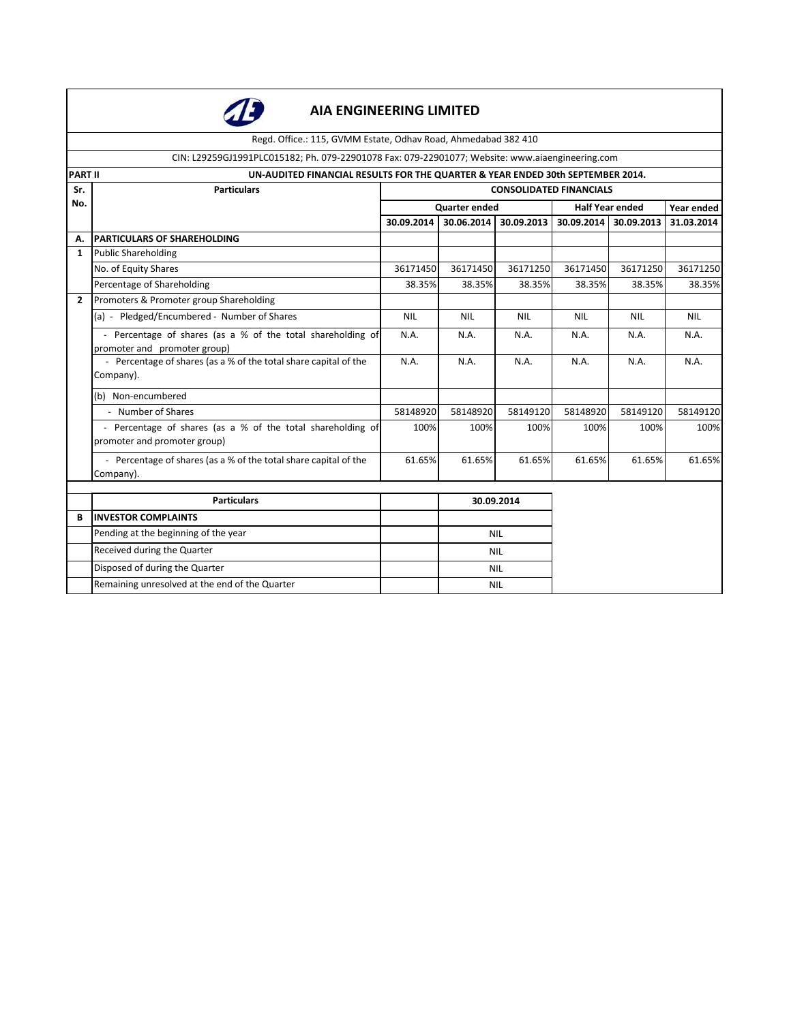

Regd. Office.: 115, GVMM Estate, Odhav Road, Ahmedabad 382 410

### CIN: L29259GJ1991PLC015182; Ph. 079-22901078 Fax: 079-22901077; Website: www.aiaengineering.com

| <b>PART II</b> | UN-AUDITED FINANCIAL RESULTS FOR THE QUARTER & YEAR ENDED 30th SEPTEMBER 2014.                      |            |               |                                |                        |            |            |
|----------------|-----------------------------------------------------------------------------------------------------|------------|---------------|--------------------------------|------------------------|------------|------------|
| Sr.            | <b>Particulars</b>                                                                                  |            |               | <b>CONSOLIDATED FINANCIALS</b> |                        |            |            |
| No.            |                                                                                                     |            | Quarter ended |                                | <b>Half Year ended</b> |            | Year ended |
|                |                                                                                                     | 30.09.2014 | 30.06.2014    | 30.09.2013                     | 30.09.2014 30.09.2013  |            | 31.03.2014 |
| А.             | <b>PARTICULARS OF SHAREHOLDING</b>                                                                  |            |               |                                |                        |            |            |
| $\mathbf{1}$   | Public Shareholding                                                                                 |            |               |                                |                        |            |            |
|                | No. of Equity Shares                                                                                | 36171450   | 36171450      | 36171250                       | 36171450               | 36171250   | 36171250   |
|                | Percentage of Shareholding                                                                          | 38.35%     | 38.35%        | 38.35%                         | 38.35%                 | 38.35%     | 38.35%     |
| $\overline{2}$ | Promoters & Promoter group Shareholding                                                             |            |               |                                |                        |            |            |
|                | (a) - Pledged/Encumbered - Number of Shares                                                         | <b>NIL</b> | <b>NIL</b>    | <b>NIL</b>                     | <b>NIL</b>             | <b>NIL</b> | <b>NIL</b> |
|                | - Percentage of shares (as a % of the total shareholding of<br>promoter and promoter group)         |            | N.A.          | N.A.                           | N.A.                   | N.A.       | N.A.       |
|                | - Percentage of shares (as a % of the total share capital of the<br>Company).                       |            | N.A.          | N.A.                           | N.A.                   | N.A.       | N.A.       |
|                | (b) Non-encumbered                                                                                  |            |               |                                |                        |            |            |
|                | - Number of Shares                                                                                  | 58148920   | 58148920      | 58149120                       | 58148920               | 58149120   | 58149120   |
|                | - Percentage of shares (as a % of the total shareholding of<br>100%<br>promoter and promoter group) |            | 100%          | 100%                           | 100%                   | 100%       | 100%       |
|                | - Percentage of shares (as a % of the total share capital of the<br>61.65%<br>61.65%<br>Company).   |            | 61.65%        | 61.65%                         | 61.65%                 | 61.65%     |            |
|                |                                                                                                     |            |               |                                |                        |            |            |
|                | <b>Particulars</b>                                                                                  |            |               | 30.09.2014                     |                        |            |            |
| B              | <b>INVESTOR COMPLAINTS</b>                                                                          |            |               |                                |                        |            |            |
|                | Pending at the beginning of the year                                                                |            | <b>NIL</b>    |                                |                        |            |            |
|                | Received during the Quarter                                                                         |            | <b>NIL</b>    |                                |                        |            |            |
|                | Disposed of during the Quarter                                                                      |            | <b>NIL</b>    |                                |                        |            |            |
|                | Remaining unresolved at the end of the Quarter                                                      |            | <b>NIL</b>    |                                |                        |            |            |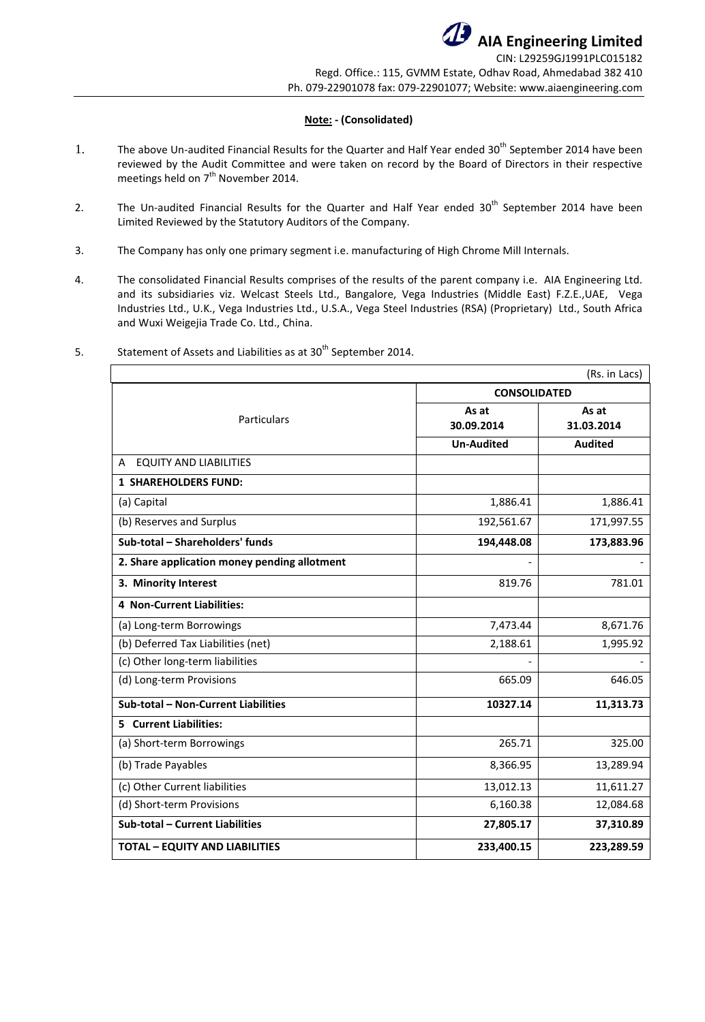### **Note: - (Consolidated)**

- 1. The above Un-audited Financial Results for the Quarter and Half Year ended 30<sup>th</sup> September 2014 have been reviewed by the Audit Committee and were taken on record by the Board of Directors in their respective meetings held on 7<sup>th</sup> November 2014.
- 2. The Un-audited Financial Results for the Quarter and Half Year ended 30<sup>th</sup> September 2014 have been Limited Reviewed by the Statutory Auditors of the Company.
- 3. The Company has only one primary segment i.e. manufacturing of High Chrome Mill Internals.
- 4. The consolidated Financial Results comprises of the results of the parent company i.e. AIA Engineering Ltd. and its subsidiaries viz. Welcast Steels Ltd., Bangalore, Vega Industries (Middle East) F.Z.E.,UAE, Vega Industries Ltd., U.K., Vega Industries Ltd., U.S.A., Vega Steel Industries (RSA) (Proprietary) Ltd., South Africa and Wuxi Weigejia Trade Co. Ltd., China.

|                                              |                     | (Rs. in Lacs)       |  |  |  |
|----------------------------------------------|---------------------|---------------------|--|--|--|
|                                              | <b>CONSOLIDATED</b> |                     |  |  |  |
| Particulars                                  | As at<br>30.09.2014 | As at<br>31.03.2014 |  |  |  |
|                                              | <b>Un-Audited</b>   | <b>Audited</b>      |  |  |  |
| <b>EQUITY AND LIABILITIES</b><br>A           |                     |                     |  |  |  |
| <b>1 SHAREHOLDERS FUND:</b>                  |                     |                     |  |  |  |
| (a) Capital                                  | 1,886.41            | 1,886.41            |  |  |  |
| (b) Reserves and Surplus                     | 192,561.67          | 171,997.55          |  |  |  |
| Sub-total - Shareholders' funds              | 194,448.08          | 173,883.96          |  |  |  |
| 2. Share application money pending allotment |                     |                     |  |  |  |
| 3. Minority Interest                         | 819.76              | 781.01              |  |  |  |
| <b>4 Non-Current Liabilities:</b>            |                     |                     |  |  |  |
| (a) Long-term Borrowings                     | 7,473.44            | 8,671.76            |  |  |  |
| (b) Deferred Tax Liabilities (net)           | 2,188.61            | 1,995.92            |  |  |  |
| (c) Other long-term liabilities              |                     |                     |  |  |  |
| (d) Long-term Provisions                     | 665.09              | 646.05              |  |  |  |
| Sub-total - Non-Current Liabilities          | 10327.14            | 11,313.73           |  |  |  |
| <b>5</b> Current Liabilities:                |                     |                     |  |  |  |
| (a) Short-term Borrowings                    | 265.71              | 325.00              |  |  |  |
| (b) Trade Payables                           | 8,366.95            | 13,289.94           |  |  |  |
| (c) Other Current liabilities                | 13,012.13           | 11,611.27           |  |  |  |
| (d) Short-term Provisions                    | 6,160.38            | 12,084.68           |  |  |  |
| Sub-total - Current Liabilities              | 27,805.17           | 37,310.89           |  |  |  |
| <b>TOTAL - EQUITY AND LIABILITIES</b>        | 233,400.15          | 223,289.59          |  |  |  |

5. Statement of Assets and Liabilities as at 30<sup>th</sup> September 2014.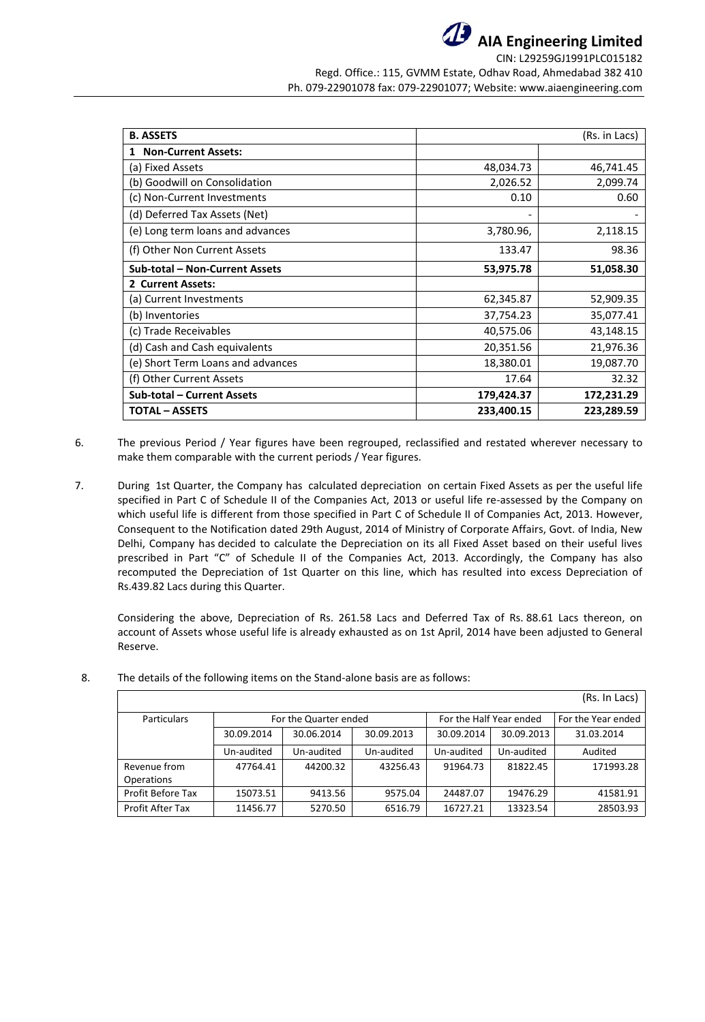

**AIA Engineering Limited** CIN: L29259GJ1991PLC015182

Regd. Office.: 115, GVMM Estate, Odhav Road, Ahmedabad 382 410 Ph. 079-22901078 fax: 079-22901077; Website: www.aiaengineering.com

| <b>B. ASSETS</b><br>(Rs. in Lacs) |            |            |  |  |
|-----------------------------------|------------|------------|--|--|
| <b>Non-Current Assets:</b><br>1   |            |            |  |  |
| (a) Fixed Assets                  | 48,034.73  | 46,741.45  |  |  |
| (b) Goodwill on Consolidation     | 2,026.52   | 2,099.74   |  |  |
| (c) Non-Current Investments       | 0.10       | 0.60       |  |  |
| (d) Deferred Tax Assets (Net)     |            |            |  |  |
| (e) Long term loans and advances  | 3,780.96,  | 2,118.15   |  |  |
| (f) Other Non Current Assets      | 133.47     | 98.36      |  |  |
| Sub-total - Non-Current Assets    | 53,975.78  | 51,058.30  |  |  |
| 2 Current Assets:                 |            |            |  |  |
| (a) Current Investments           | 62,345.87  | 52,909.35  |  |  |
| (b) Inventories                   | 37,754.23  | 35,077.41  |  |  |
| (c) Trade Receivables             | 40,575.06  | 43,148.15  |  |  |
| (d) Cash and Cash equivalents     | 20,351.56  | 21,976.36  |  |  |
| (e) Short Term Loans and advances | 18,380.01  | 19,087.70  |  |  |
| (f) Other Current Assets          | 17.64      | 32.32      |  |  |
| <b>Sub-total - Current Assets</b> | 179,424.37 | 172,231.29 |  |  |
| <b>TOTAL - ASSETS</b>             | 233,400.15 | 223,289.59 |  |  |

- 6. The previous Period / Year figures have been regrouped, reclassified and restated wherever necessary to make them comparable with the current periods / Year figures.
- 7. During 1st Quarter, the Company has calculated depreciation on certain Fixed Assets as per the useful life specified in Part C of Schedule II of the Companies Act, 2013 or useful life re-assessed by the Company on which useful life is different from those specified in Part C of Schedule II of Companies Act, 2013. However, Consequent to the Notification dated 29th August, 2014 of Ministry of Corporate Affairs, Govt. of India, New Delhi, Company has decided to calculate the Depreciation on its all Fixed Asset based on their useful lives prescribed in Part "C" of Schedule II of the Companies Act, 2013. Accordingly, the Company has also recomputed the Depreciation of 1st Quarter on this line, which has resulted into excess Depreciation of Rs.439.82 Lacs during this Quarter.

Considering the above, Depreciation of Rs. 261.58 Lacs and Deferred Tax of Rs. 88.61 Lacs thereon, on account of Assets whose useful life is already exhausted as on 1st April, 2014 have been adjusted to General Reserve.

|                                   |                                                  |            |            |            |            | (Rs. In Lacs)      |
|-----------------------------------|--------------------------------------------------|------------|------------|------------|------------|--------------------|
| <b>Particulars</b>                | For the Half Year ended<br>For the Quarter ended |            |            |            |            | For the Year ended |
|                                   | 30.09.2014                                       | 30.06.2014 | 30.09.2013 | 30.09.2014 | 30.09.2013 | 31.03.2014         |
|                                   | Un-audited                                       | Un-audited | Un-audited | Un-audited | Un-audited | Audited            |
| Revenue from<br><b>Operations</b> | 47764.41                                         | 44200.32   | 43256.43   | 91964.73   | 81822.45   | 171993.28          |
| Profit Before Tax                 | 15073.51                                         | 9413.56    | 9575.04    | 24487.07   | 19476.29   | 41581.91           |
| Profit After Tax                  | 11456.77                                         | 5270.50    | 6516.79    | 16727.21   | 13323.54   | 28503.93           |

8. The details of the following items on the Stand-alone basis are as follows: